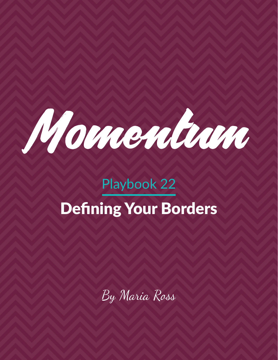

# Playbook 22 Defining Your Borders

By Maria Ross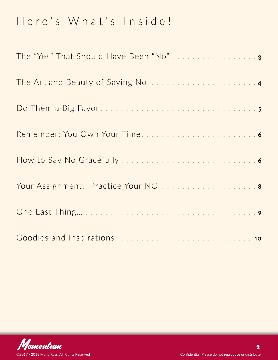## Here's What's Inside!

| The "Yes" That Should Have Been "No"3 |
|---------------------------------------|
|                                       |
|                                       |
|                                       |
|                                       |
| Your Assignment: Practice Your NO  8  |
|                                       |
|                                       |

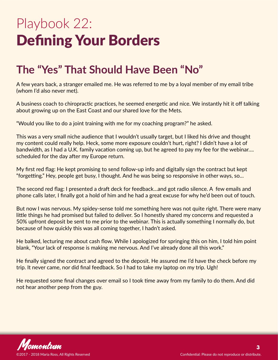# <span id="page-2-0"></span>Playbook 22: Defining Your Borders

### **The "Yes" That Should Have Been "No"**

A few years back, a stranger emailed me. He was referred to me by a loyal member of my email tribe (whom I'd also never met).

A business coach to chiropractic practices, he seemed energetic and nice. We instantly hit it off talking about growing up on the East Coast and our shared love for the Mets.

"Would you like to do a joint training with me for my coaching program?" he asked.

This was a very small niche audience that I wouldn't usually target, but I liked his drive and thought my content could really help. Heck, some more exposure couldn't hurt, right? I didn't have a lot of bandwidth, as I had a U.K. family vacation coming up, but he agreed to pay my fee for the webinar…. scheduled for the day after my Europe return.

My first red flag: He kept promising to send follow-up info and digitally sign the contract but kept "forgetting." Hey, people get busy, I thought. And he was being so responsive in other ways, so…

The second red flag: I presented a draft deck for feedback…and got radio silence. A few emails and phone calls later, I finally got a hold of him and he had a great excuse for why he'd been out of touch.

But now I was nervous. My spidey-sense told me something here was not quite right. There were many little things he had promised but failed to deliver. So I honestly shared my concerns and requested a 50% upfront deposit be sent to me prior to the webinar. This is actually something I normally do, but because of how quickly this was all coming together, I hadn't asked.

He balked, lecturing me about cash flow. While I apologized for springing this on him, I told him point blank, "Your lack of response is making me nervous. And I've already done all this work."

He finally signed the contract and agreed to the deposit. He assured me I'd have the check before my trip. It never came, nor did final feedback. So I had to take my laptop on my trip. Ugh!

He requested some final changes over email so I took time away from my family to do them. And did not hear another peep from the guy.

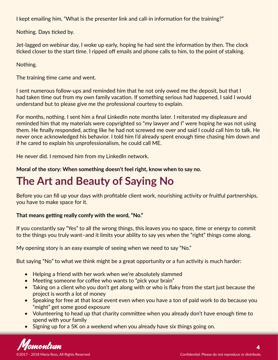<span id="page-3-0"></span>I kept emailing him, "What is the presenter link and call-in information for the training?"

Nothing. Days ticked by.

Jet-lagged on webinar day, I woke up early, hoping he had sent the information by then. The clock ticked closer to the start time. I ripped off emails and phone calls to him, to the point of stalking.

Nothing.

The training time came and went.

I sent numerous follow-ups and reminded him that he not only owed me the deposit, but that I had taken time out from my own family vacation. If something serious had happened, I said I would understand but to please give me the professional courtesy to explain.

For months, nothing. I sent him a final LinkedIn note months later. I reiterated my displeasure and reminded him that my materials were copyrighted so "my lawyer and I" were hoping he was not using them. He finally responded, acting like he had not screwed me over and said I could call him to talk. He never once acknowledged his behavior. I told him I'd already spent enough time chasing him down and if he cared to explain his unprofessionalism, he could call ME.

He never did. I removed him from my LinkedIn network.

**Moral of the story: When something doesn't feel right, know when to say no.** 

## **The Art and Beauty of Saying No**

Before you can fill up your days with profitable client work, nourishing activity or fruitful partnerships, you have to make space for it.

#### **That means getting really comfy with the word, "No."**

If you constantly say "Yes" to all the wrong things, this leaves you no space, time or energy to commit to the things you truly want–and it limits your ability to say yes when the "right" things come along.

My opening story is an easy example of seeing when we need to say "No."

But saying "No" to what we think might be a great opportunity or a fun activity is much harder:

- Helping a friend with her work when we're absolutely slammed
- Meeting someone for coffee who wants to "pick your brain"
- Taking on a client who you don't get along with or who is flaky from the start just because the project is worth a lot of money
- Speaking for free at that local event even when you have a ton of paid work to do because you "might" get some good exposure
- Volunteering to head up that charity committee when you already don't have enough time to spend with your family
- Signing up for a 5K on a weekend when you already have six things going on.

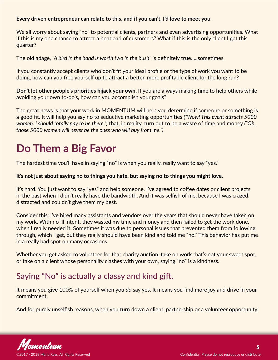#### <span id="page-4-0"></span>**Every driven entrepreneur can relate to this, and if you can't, I'd love to meet you.**

We all worry about saying "no" to potential clients, partners and even advertising opportunities. What if this is my one chance to attract a boatload of customers? What if this is the only client I get this quarter?

The old adage, *"A bird in the hand is worth two in the bush"* is definitely true…..sometimes.

If you constantly accept clients who don't fit your ideal profile or the type of work you want to be doing, how can you free yourself up to attract a better, more profitable client for the long run?

**Don't let other people's priorities hijack your own.** If you are always making time to help others while avoiding your own to-do's, how can you accomplish your goals?

The great news is that your work in MOMENTUM will help you determine if someone or something is a good fit. It will help you say no to seductive marketing opportunities *("Wow! This event attracts 5000 women. I should totally pay to be there.")* that, in reality, turn out to be a waste of time and money *("Oh, those 5000 women will never be the ones who will buy from me.")*

## **Do Them a Big Favor**

The hardest time you'll have in saying "no" is when you really, really want to say "yes."

#### **It's not just about saying no to things you hate, but saying no to things you might love.**

It's hard. You just want to say "yes" and help someone. I've agreed to coffee dates or client projects in the past when I didn't really have the bandwidth. And it was selfish of me, because I was crazed, distracted and couldn't give them my best.

Consider this: I've hired many assistants and vendors over the years that should never have taken on my work. With no ill intent, they wasted my time and money and then failed to get the work done, when I really needed it. Sometimes it was due to personal issues that prevented them from following through, which I get, but they really should have been kind and told me "no." This behavior has put me in a really bad spot on many occasions.

Whether you get asked to volunteer for that charity auction, take on work that's not your sweet spot, or take on a client whose personality clashes with your own, saying "no" is a kindness.

### Saying "No" is actually a classy and kind gift.

It means you give 100% of yourself when you *do* say yes. It means you find more joy and drive in your commitment.

And for purely unselfish reasons, when you turn down a client, partnership or a volunteer opportunity,

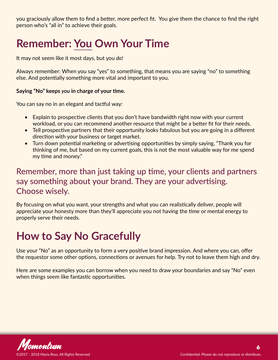<span id="page-5-0"></span>you graciously allow them to find a better, more perfect fit. You give them the chance to find the right person who's "all in" to achieve their goals.

## **Remember: You Own Your Time**

It may not seem like it most days, but you *do!*

Always remember: When you say "yes" to something, that means you are saying "no" to something else. And potentially something more vital and important to you.

#### **Saying "No" keeps** *you* **in charge of your time.**

You can say no in an elegant and tactful way:

- Explain to prospective clients that you don't have bandwidth right now with your current workload, or you can recommend another resource that might be a better fit for their needs.
- Tell prospective partners that their opportunity looks fabulous but you are going in a different direction with your business or target market.
- Turn down potential marketing or advertising opportunities by simply saying, "Thank you for thinking of me, but based on my current goals, this is not the most valuable way for me spend my time and money."

### Remember, more than just taking up time, your clients and partners say something about your brand. They are your advertising. Choose wisely.

By focusing on what you want, your strengths and what you can realistically deliver, people will appreciate your honesty more than they'll appreciate you not having the time or mental energy to properly serve their needs.

### **How to Say No Gracefully**

Use your "No" as an opportunity to form a very positive brand impression. And where you can, offer the requestor some other options, connections or avenues for help. Try not to leave them high and dry.

Here are some examples you can borrow when you need to draw your boundaries and say "No" even when things seem like fantastic opportunities.

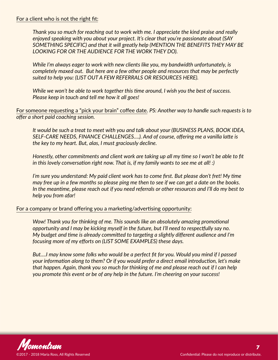#### For a client who is not the right fit:

*Thank you so much for reaching out to work with me. I appreciate the kind praise and really enjoyed speaking with you about your project. It's clear that you're passionate about (SAY SOMETHING SPECIFIC) and that it will greatly help (MENTION THE BENEFITS THEY MAY BE LOOKING FOR OR THE AUDIENCE FOR THE WORK THEY DO).*

*While I'm always eager to work with new clients like you, my bandwidth unfortunately, is completely maxed out. But here are a few other people and resources that may be perfectly suited to help you: (LIST OUT A FEW REFERRALS OR RESOURCES HERE).*

*While we won't be able to work together this time around, I wish you the best of success. Please keep in touch and tell me how it all goes!* 

For someone requesting a "pick your brain" coffee date. *PS: Another way to handle such requests is to offer a short paid coaching session.*

*It would be such a treat to meet with you and talk about your (BUSINESS PLANS, BOOK IDEA, SELF-CARE NEEDS, FINANCE CHALLENGES….). And of course, offering me a vanilla latte is the key to my heart. But, alas, I must graciously decline.*

*Honestly, other commitments and client work are taking up all my time so I won't be able to fit in this lovely conversation right now. That is, if my family wants to see me at all! :)*

*I'm sure you understand: My paid client work has to come first. But please don't fret! My time may free up in a few months so please ping me then to see if we can get a date on the books. In the meantime, please reach out if you need referrals or other resources and I'll do my best to help you from afar!*

#### For a company or brand offering you a marketing/advertising opportunity:

*Wow! Thank you for thinking of me. This sounds like an absolutely amazing promotional opportunity and I may be kicking myself in the future, but I'll need to respectfully say no. My budget and time is already committed to targeting a slightly different audience and I'm focusing more of my efforts on (LIST SOME EXAMPLES) these days.*

*But….I may know some folks who would be a perfect fit for you. Would you mind if I passed your information along to them? Or if you would prefer a direct email introduction, let's make that happen. Again, thank you so much for thinking of me and please reach out if I can help you promote this event or be of any help in the future. I'm cheering on your success!*

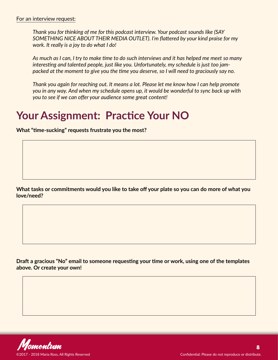<span id="page-7-0"></span>*Thank you for thinking of me for this podcast interview. Your podcast sounds like (SAY SOMETHING NICE ABOUT THEIR MEDIA OUTLET). I'm flattered by your kind praise for my work. It really is a joy to do what I do!* 

*As much as I can, I try to make time to do such interviews and it has helped me meet so many interesting and talented people, just like you. Unfortunately, my schedule is just too jampacked at the moment to give you the time you deserve, so I will need to graciously say no.* 

*Thank you again for reaching out. It means a lot. Please let me know how I can help promote you in any way. And when my schedule opens up, it would be wonderful to sync back up with you to see if we can offer your audience some great content!*

### **Your Assignment: Practice Your NO**

**What "time-sucking" requests frustrate you the most?**

**What tasks or commitments would you like to take off your plate so you can do more of what you love/need?** 

**Draft a gracious "No" email to someone requesting your time or work, using one of the templates above. Or create your own!**

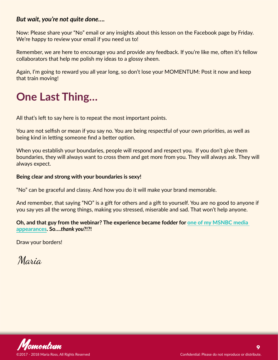#### <span id="page-8-0"></span>*But wait, you're not quite done….*

Now: Please share your "No" email or any insights about this lesson on the Facebook page by Friday. We're happy to review your email if you need us to!

Remember, we are here to encourage you and provide any feedback. If you're like me, often it's fellow collaborators that help me polish my ideas to a glossy sheen.

Again, I'm going to reward you all year long, so don't lose your MOMENTUM: Post it now and keep that train moving!

### **One Last Thing…**

All that's left to say here is to repeat the most important points.

You are not selfish or mean if you say no. You are being respectful of your own priorities, as well as being kind in letting someone find a better option.

When you establish your boundaries, people will respond and respect you. If you don't give them boundaries, they will always want to cross them and get more from you. They will always ask. They will always expect.

#### **Being clear and strong with your boundaries is sexy!**

"No" can be graceful and classy. And how you do it will make your brand memorable.

And remember, that saying "NO" is a gift for others and a gift to yourself. You are no good to anyone if you say yes all the wrong things, making you stressed, miserable and sad. That won't help anyone.

**Oh, and that guy from the webinar? The experience became fodder for one of my MSNBC media [appearances](https://youtu.be/cmFVeBSfoo8). So….***thank you***?!?!**

Draw your borders!

Maria